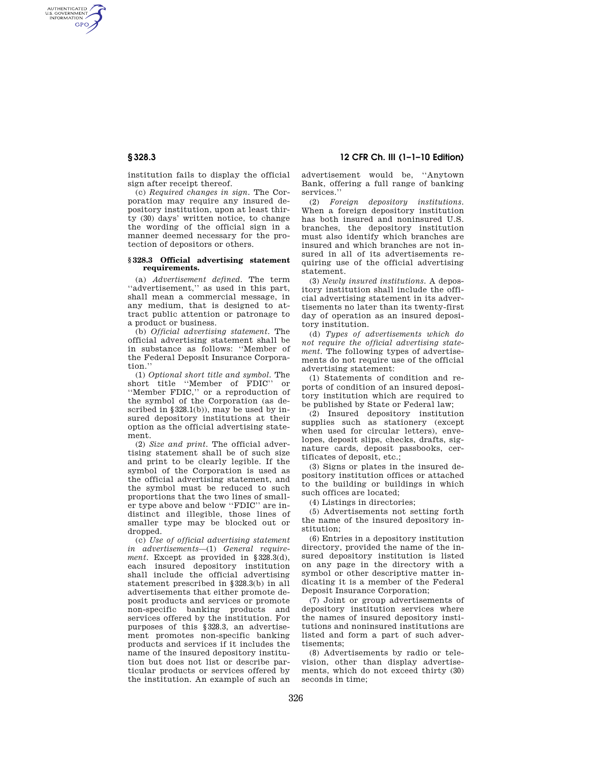# **§ 328.3 12 CFR Ch. III (1–1–10 Edition)**

institution fails to display the official

AUTHENTICATED<br>U.S. GOVERNMENT<br>INFORMATION **GPO** 

> sign after receipt thereof. (c) *Required changes in sign.* The Corporation may require any insured depository institution, upon at least thirty (30) days' written notice, to change the wording of the official sign in a manner deemed necessary for the protection of depositors or others.

### **§ 328.3 Official advertising statement requirements.**

(a) *Advertisement defined.* The term ''advertisement,'' as used in this part, shall mean a commercial message, in any medium, that is designed to attract public attention or patronage to a product or business.

(b) *Official advertising statement.* The official advertising statement shall be in substance as follows: ''Member of the Federal Deposit Insurance Corporation.''

(1) *Optional short title and symbol.* The short title ''Member of FDIC'' or ''Member FDIC,'' or a reproduction of the symbol of the Corporation (as described in  $\S 328.1(b)$ , may be used by insured depository institutions at their option as the official advertising statement.

(2) *Size and print.* The official advertising statement shall be of such size and print to be clearly legible. If the symbol of the Corporation is used as the official advertising statement, and the symbol must be reduced to such proportions that the two lines of smaller type above and below ''FDIC'' are indistinct and illegible, those lines of smaller type may be blocked out or dropped.

(c) *Use of official advertising statement in advertisements*—(1) *General requirement.* Except as provided in §328.3(d), each insured depository institution shall include the official advertising statement prescribed in §328.3(b) in all advertisements that either promote deposit products and services or promote non-specific banking products and services offered by the institution. For purposes of this §328.3, an advertisement promotes non-specific banking products and services if it includes the name of the insured depository institution but does not list or describe particular products or services offered by the institution. An example of such an

advertisement would be, ''Anytown Bank, offering a full range of banking services.''

(2) *Foreign depository institutions.*  When a foreign depository institution has both insured and noninsured U.S. branches, the depository institution must also identify which branches are insured and which branches are not insured in all of its advertisements requiring use of the official advertising statement.

(3) *Newly insured institutions.* A depository institution shall include the official advertising statement in its advertisements no later than its twenty-first day of operation as an insured depository institution.

(d) *Types of advertisements which do not require the official advertising statement.* The following types of advertisements do not require use of the official advertising statement:

(1) Statements of condition and reports of condition of an insured depository institution which are required to be published by State or Federal law;

(2) Insured depository institution supplies such as stationery (except when used for circular letters), envelopes, deposit slips, checks, drafts, signature cards, deposit passbooks, certificates of deposit, etc.;

(3) Signs or plates in the insured depository institution offices or attached to the building or buildings in which such offices are located;

(4) Listings in directories;

(5) Advertisements not setting forth the name of the insured depository institution;

(6) Entries in a depository institution directory, provided the name of the insured depository institution is listed on any page in the directory with a symbol or other descriptive matter indicating it is a member of the Federal Deposit Insurance Corporation;

(7) Joint or group advertisements of depository institution services where the names of insured depository institutions and noninsured institutions are listed and form a part of such advertisements;

(8) Advertisements by radio or television, other than display advertisements, which do not exceed thirty (30) seconds in time: